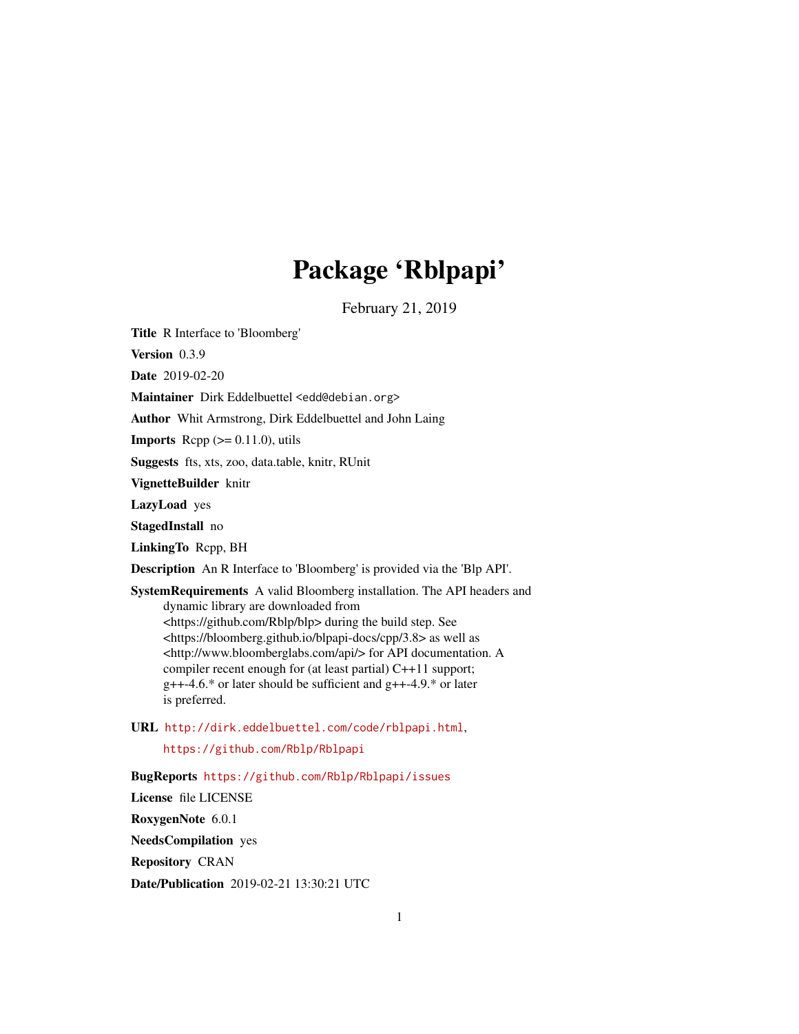# Package 'Rblpapi'

February 21, 2019

<span id="page-0-0"></span>Title R Interface to 'Bloomberg'

Version 0.3.9

Date 2019-02-20

Maintainer Dirk Eddelbuettel <edd@debian.org>

Author Whit Armstrong, Dirk Eddelbuettel and John Laing

**Imports** Rcpp  $(>= 0.11.0)$ , utils

Suggests fts, xts, zoo, data.table, knitr, RUnit

VignetteBuilder knitr

LazyLoad yes

StagedInstall no

LinkingTo Rcpp, BH

Description An R Interface to 'Bloomberg' is provided via the 'Blp API'.

SystemRequirements A valid Bloomberg installation. The API headers and dynamic library are downloaded from <https://github.com/Rblp/blp> during the build step. See <https://bloomberg.github.io/blpapi-docs/cpp/3.8> as well as <http://www.bloomberglabs.com/api/> for API documentation. A compiler recent enough for (at least partial) C++11 support;  $g++-4.6.*$  or later should be sufficient and  $g++-4.9.*$  or later is preferred.

URL <http://dirk.eddelbuettel.com/code/rblpapi.html>, <https://github.com/Rblp/Rblpapi>

BugReports <https://github.com/Rblp/Rblpapi/issues> License file LICENSE RoxygenNote 6.0.1 NeedsCompilation yes Repository CRAN

Date/Publication 2019-02-21 13:30:21 UTC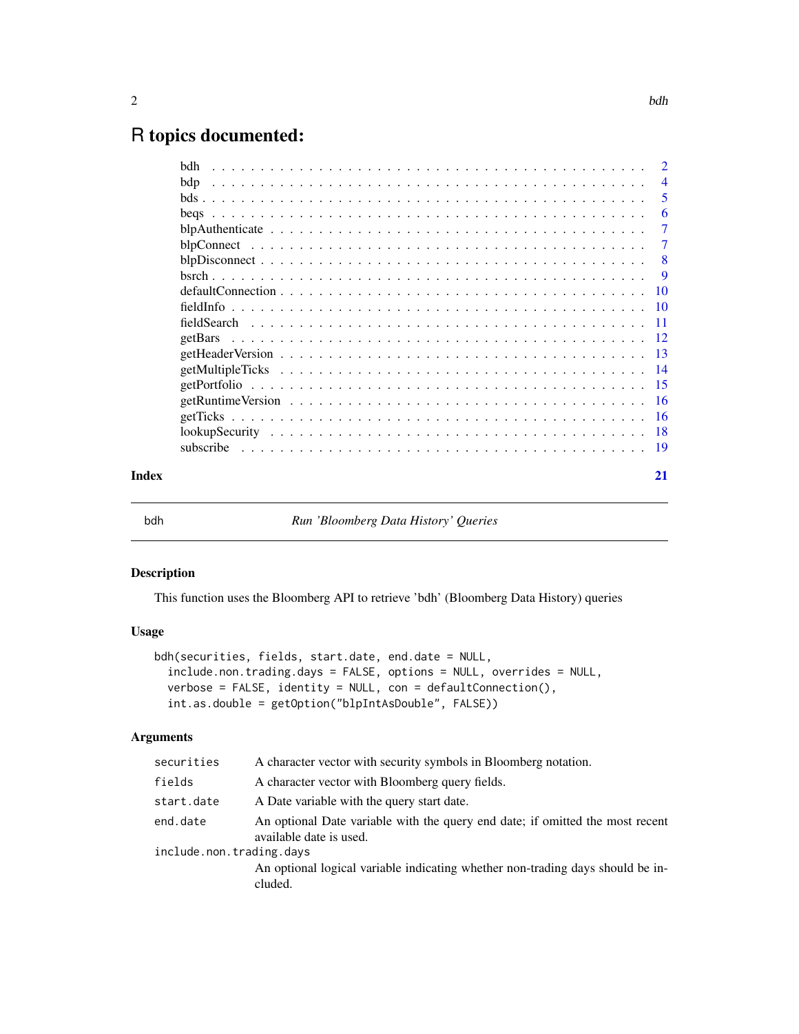# <span id="page-1-0"></span>R topics documented:

|       | bdh |                |
|-------|-----|----------------|
|       | bdp | $\overline{4}$ |
|       |     | 5              |
|       |     | -6             |
|       |     | 7              |
|       |     | -7             |
|       |     | -8             |
|       |     |                |
|       |     |                |
|       |     |                |
|       |     |                |
|       |     |                |
|       |     |                |
|       |     |                |
|       |     |                |
|       |     |                |
|       |     |                |
|       |     |                |
|       |     |                |
| Index |     | 21             |

bdh *Run 'Bloomberg Data History' Queries*

# Description

This function uses the Bloomberg API to retrieve 'bdh' (Bloomberg Data History) queries

# Usage

```
bdh(securities, fields, start.date, end.date = NULL,
  include.non.trading.days = FALSE, options = NULL, overrides = NULL,
  verbose = FALSE, identity = NULL, con = defaultConnection(),
  int.as.double = getOption("blpIntAsDouble", FALSE))
```
#### Arguments

| securities               | A character vector with security symbols in Bloomberg notation.                                          |  |
|--------------------------|----------------------------------------------------------------------------------------------------------|--|
| fields                   | A character vector with Bloomberg query fields.                                                          |  |
| start.date               | A Date variable with the query start date.                                                               |  |
| end.date                 | An optional Date variable with the query end date; if omitted the most recent<br>available date is used. |  |
| include.non.trading.days |                                                                                                          |  |
|                          | An optional logical variable indicating whether non-trading days should be in-<br>cluded.                |  |
|                          |                                                                                                          |  |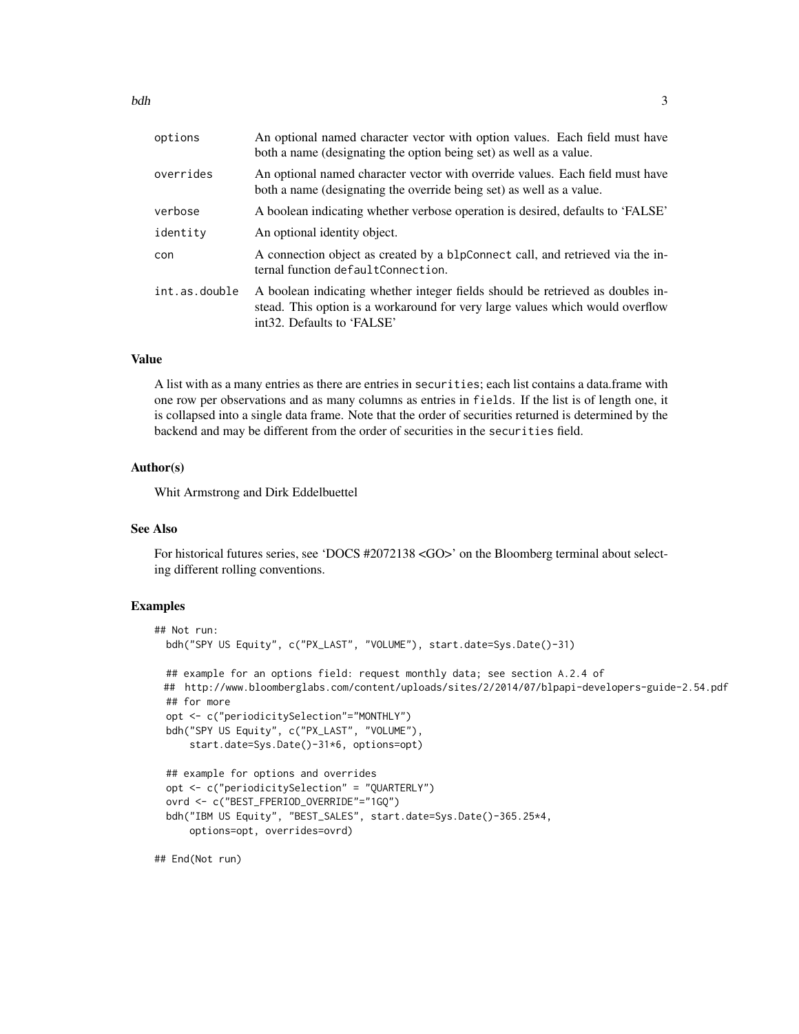| options       | An optional named character vector with option values. Each field must have<br>both a name (designating the option being set) as well as a value.                                                          |
|---------------|------------------------------------------------------------------------------------------------------------------------------------------------------------------------------------------------------------|
| overrides     | An optional named character vector with override values. Each field must have<br>both a name (designating the override being set) as well as a value.                                                      |
| verbose       | A boolean indicating whether verbose operation is desired, defaults to 'FALSE'                                                                                                                             |
| identity      | An optional identity object.                                                                                                                                                                               |
| con           | A connection object as created by a blpConnect call, and retrieved via the in-<br>ternal function defaultConnection.                                                                                       |
| int.as.double | A boolean indicating whether integer fields should be retrieved as doubles in-<br>stead. This option is a workaround for very large values which would overflow<br>int <sub>32</sub> . Defaults to 'FALSE' |

# Value

A list with as a many entries as there are entries in securities; each list contains a data.frame with one row per observations and as many columns as entries in fields. If the list is of length one, it is collapsed into a single data frame. Note that the order of securities returned is determined by the backend and may be different from the order of securities in the securities field.

#### Author(s)

Whit Armstrong and Dirk Eddelbuettel

# See Also

For historical futures series, see 'DOCS #2072138 <GO>' on the Bloomberg terminal about selecting different rolling conventions.

#### Examples

```
## Not run:
 bdh("SPY US Equity", c("PX_LAST", "VOLUME"), start.date=Sys.Date()-31)
 ## example for an options field: request monthly data; see section A.2.4 of
 ## http://www.bloomberglabs.com/content/uploads/sites/2/2014/07/blpapi-developers-guide-2.54.pdf
 ## for more
 opt <- c("periodicitySelection"="MONTHLY")
 bdh("SPY US Equity", c("PX_LAST", "VOLUME"),
     start.date=Sys.Date()-31*6, options=opt)
 ## example for options and overrides
 opt <- c("periodicitySelection" = "QUARTERLY")
 ovrd <- c("BEST_FPERIOD_OVERRIDE"="1GQ")
 bdh("IBM US Equity", "BEST_SALES", start.date=Sys.Date()-365.25*4,
     options=opt, overrides=ovrd)
```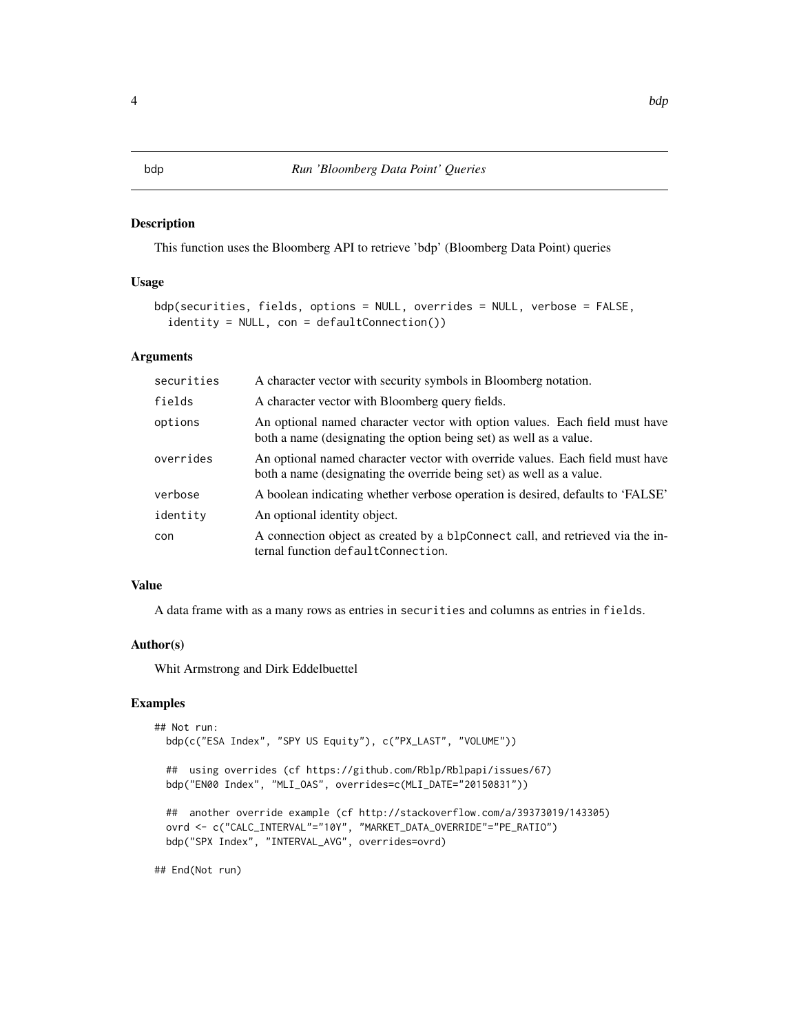<span id="page-3-0"></span>This function uses the Bloomberg API to retrieve 'bdp' (Bloomberg Data Point) queries

#### Usage

```
bdp(securities, fields, options = NULL, overrides = NULL, verbose = FALSE,
  identity = NULL, con = defaultConnection())
```
#### Arguments

| securities | A character vector with security symbols in Bloomberg notation.                                                                                       |
|------------|-------------------------------------------------------------------------------------------------------------------------------------------------------|
| fields     | A character vector with Bloomberg query fields.                                                                                                       |
| options    | An optional named character vector with option values. Each field must have<br>both a name (designating the option being set) as well as a value.     |
| overrides  | An optional named character vector with override values. Each field must have<br>both a name (designating the override being set) as well as a value. |
| verbose    | A boolean indicating whether verbose operation is desired, defaults to 'FALSE'                                                                        |
| identity   | An optional identity object.                                                                                                                          |
| con        | A connection object as created by a blpConnect call, and retrieved via the in-<br>ternal function defaultConnection.                                  |

#### Value

A data frame with as a many rows as entries in securities and columns as entries in fields.

#### Author(s)

Whit Armstrong and Dirk Eddelbuettel

# Examples

```
## Not run:
 bdp(c("ESA Index", "SPY US Equity"), c("PX_LAST", "VOLUME"))
 ## using overrides (cf https://github.com/Rblp/Rblpapi/issues/67)
 bdp("EN00 Index", "MLI_OAS", overrides=c(MLI_DATE="20150831"))
 ## another override example (cf http://stackoverflow.com/a/39373019/143305)
  ovrd <- c("CALC_INTERVAL"="10Y", "MARKET_DATA_OVERRIDE"="PE_RATIO")
  bdp("SPX Index", "INTERVAL_AVG", overrides=ovrd)
```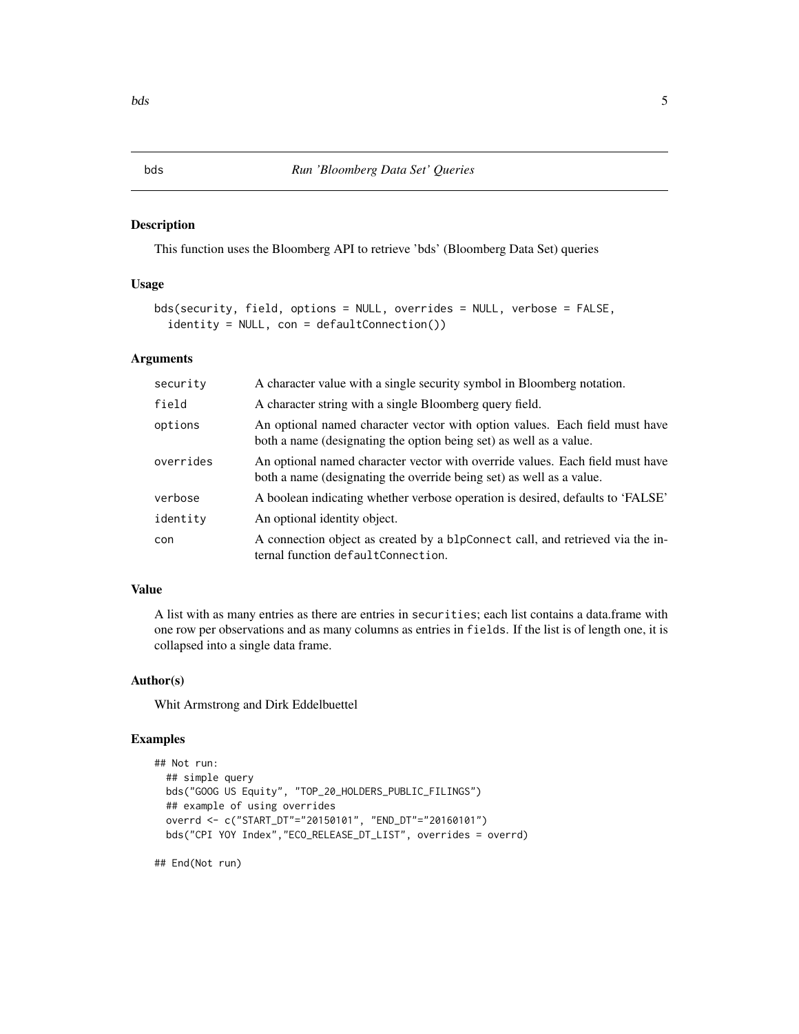<span id="page-4-0"></span>This function uses the Bloomberg API to retrieve 'bds' (Bloomberg Data Set) queries

## Usage

```
bds(security, field, options = NULL, overrides = NULL, verbose = FALSE,
  identity = NULL, con = defaultConnection())
```
# Arguments

| security  | A character value with a single security symbol in Bloomberg notation.                                                                                |
|-----------|-------------------------------------------------------------------------------------------------------------------------------------------------------|
| field     | A character string with a single Bloomberg query field.                                                                                               |
| options   | An optional named character vector with option values. Each field must have<br>both a name (designating the option being set) as well as a value.     |
| overrides | An optional named character vector with override values. Each field must have<br>both a name (designating the override being set) as well as a value. |
| verbose   | A boolean indicating whether verbose operation is desired, defaults to 'FALSE'                                                                        |
| identity  | An optional identity object.                                                                                                                          |
| con       | A connection object as created by a blpConnect call, and retrieved via the in-<br>ternal function defaultConnection.                                  |

# Value

A list with as many entries as there are entries in securities; each list contains a data.frame with one row per observations and as many columns as entries in fields. If the list is of length one, it is collapsed into a single data frame.

# Author(s)

Whit Armstrong and Dirk Eddelbuettel

# Examples

```
## Not run:
 ## simple query
 bds("GOOG US Equity", "TOP_20_HOLDERS_PUBLIC_FILINGS")
 ## example of using overrides
 overrd <- c("START_DT"="20150101", "END_DT"="20160101")
 bds("CPI YOY Index","ECO_RELEASE_DT_LIST", overrides = overrd)
```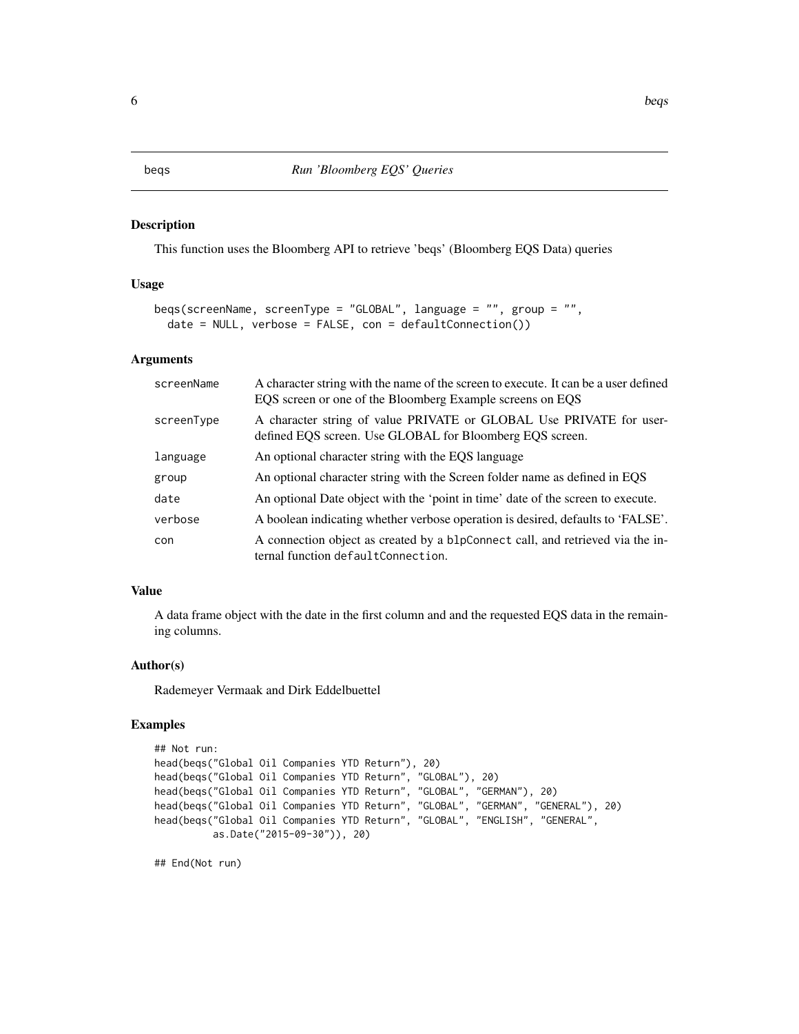<span id="page-5-0"></span>This function uses the Bloomberg API to retrieve 'beqs' (Bloomberg EQS Data) queries

#### Usage

```
beqs(screenName, screenType = "GLOBAL", language = "", group = "",
  date = NULL, verbose = FALSE, con = defaultConnection())
```
# Arguments

| screenName | A character string with the name of the screen to execute. It can be a user defined<br>EQS screen or one of the Bloomberg Example screens on EQS |
|------------|--------------------------------------------------------------------------------------------------------------------------------------------------|
| screenType | A character string of value PRIVATE or GLOBAL Use PRIVATE for user-<br>defined EQS screen. Use GLOBAL for Bloomberg EQS screen.                  |
| language   | An optional character string with the EQS language                                                                                               |
| group      | An optional character string with the Screen folder name as defined in EQS                                                                       |
| date       | An optional Date object with the 'point in time' date of the screen to execute.                                                                  |
| verbose    | A boolean indicating whether verbose operation is desired, defaults to 'FALSE'.                                                                  |
| con        | A connection object as created by a blpConnect call, and retrieved via the in-<br>ternal function defaultConnection.                             |

# Value

A data frame object with the date in the first column and and the requested EQS data in the remaining columns.

# Author(s)

Rademeyer Vermaak and Dirk Eddelbuettel

# Examples

```
## Not run:
head(beqs("Global Oil Companies YTD Return"), 20)
head(beqs("Global Oil Companies YTD Return", "GLOBAL"), 20)
head(beqs("Global Oil Companies YTD Return", "GLOBAL", "GERMAN"), 20)
head(beqs("Global Oil Companies YTD Return", "GLOBAL", "GERMAN", "GENERAL"), 20)
head(beqs("Global Oil Companies YTD Return", "GLOBAL", "ENGLISH", "GENERAL",
          as.Date("2015-09-30")), 20)
```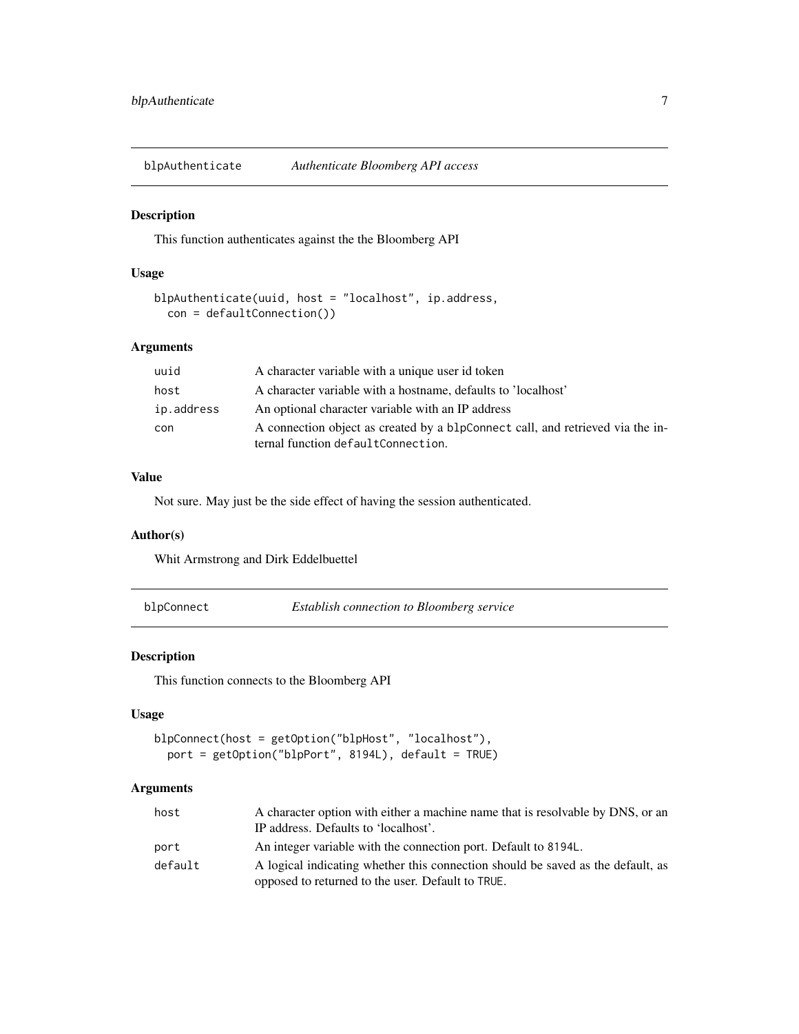<span id="page-6-0"></span>blpAuthenticate *Authenticate Bloomberg API access*

# Description

This function authenticates against the the Bloomberg API

# Usage

```
blpAuthenticate(uuid, host = "localhost", ip.address,
 con = defaultConnection())
```
# Arguments

| uuid       | A character variable with a unique user id token                                                                     |
|------------|----------------------------------------------------------------------------------------------------------------------|
| host       | A character variable with a hostname, defaults to 'localhost'                                                        |
| ip.address | An optional character variable with an IP address                                                                    |
| con        | A connection object as created by a blpConnect call, and retrieved via the in-<br>ternal function defaultConnection. |

# Value

Not sure. May just be the side effect of having the session authenticated.

# Author(s)

Whit Armstrong and Dirk Eddelbuettel

blpConnect *Establish connection to Bloomberg service*

# Description

This function connects to the Bloomberg API

# Usage

```
blpConnect(host = getOption("blpHost", "localhost"),
 port = getOption("blpPort", 8194L), default = TRUE)
```
#### Arguments

| host    | A character option with either a machine name that is resolvable by DNS, or an  |
|---------|---------------------------------------------------------------------------------|
|         | IP address. Defaults to 'localhost'.                                            |
| port    | An integer variable with the connection port. Default to 8194L.                 |
| default | A logical indicating whether this connection should be saved as the default, as |
|         | opposed to returned to the user. Default to TRUE.                               |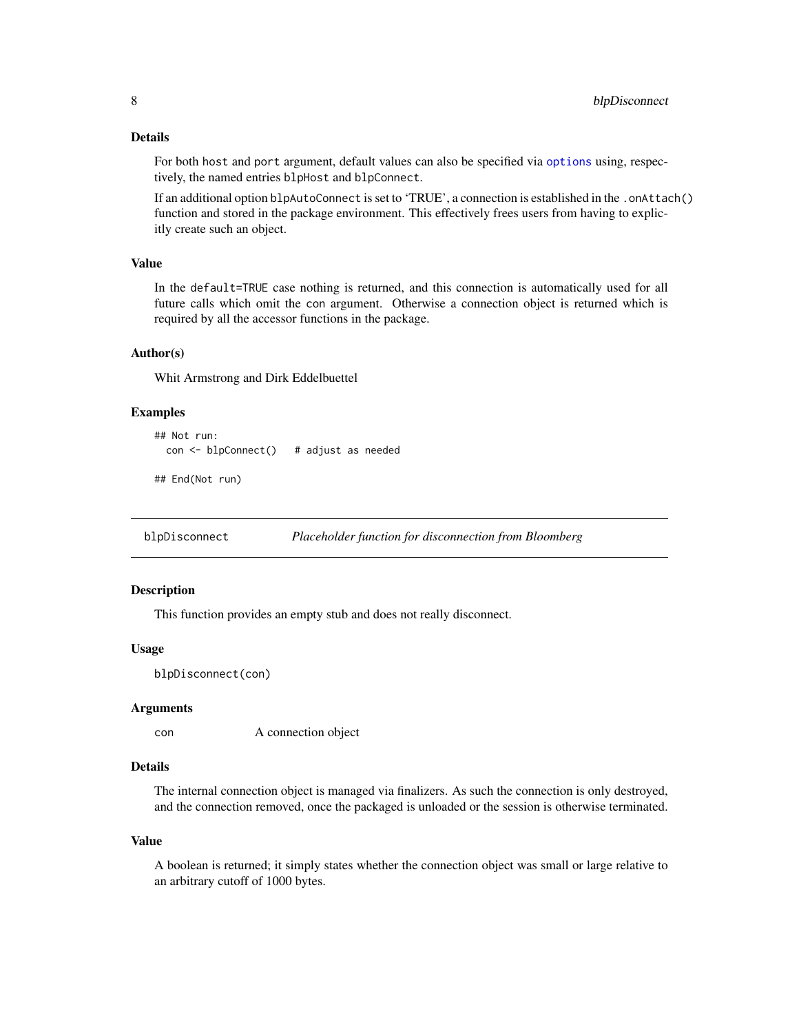# <span id="page-7-0"></span>Details

For both host and port argument, default values can also be specified via [options](#page-0-0) using, respectively, the named entries blpHost and blpConnect.

If an additional option blpAutoConnect is set to 'TRUE', a connection is established in the .onAttach() function and stored in the package environment. This effectively frees users from having to explicitly create such an object.

# Value

In the default=TRUE case nothing is returned, and this connection is automatically used for all future calls which omit the con argument. Otherwise a connection object is returned which is required by all the accessor functions in the package.

#### Author(s)

Whit Armstrong and Dirk Eddelbuettel

#### Examples

```
## Not run:
 con <- blpConnect() # adjust as needed
```
## End(Not run)

blpDisconnect *Placeholder function for disconnection from Bloomberg*

# **Description**

This function provides an empty stub and does not really disconnect.

#### Usage

blpDisconnect(con)

#### Arguments

con A connection object

#### **Details**

The internal connection object is managed via finalizers. As such the connection is only destroyed, and the connection removed, once the packaged is unloaded or the session is otherwise terminated.

#### Value

A boolean is returned; it simply states whether the connection object was small or large relative to an arbitrary cutoff of 1000 bytes.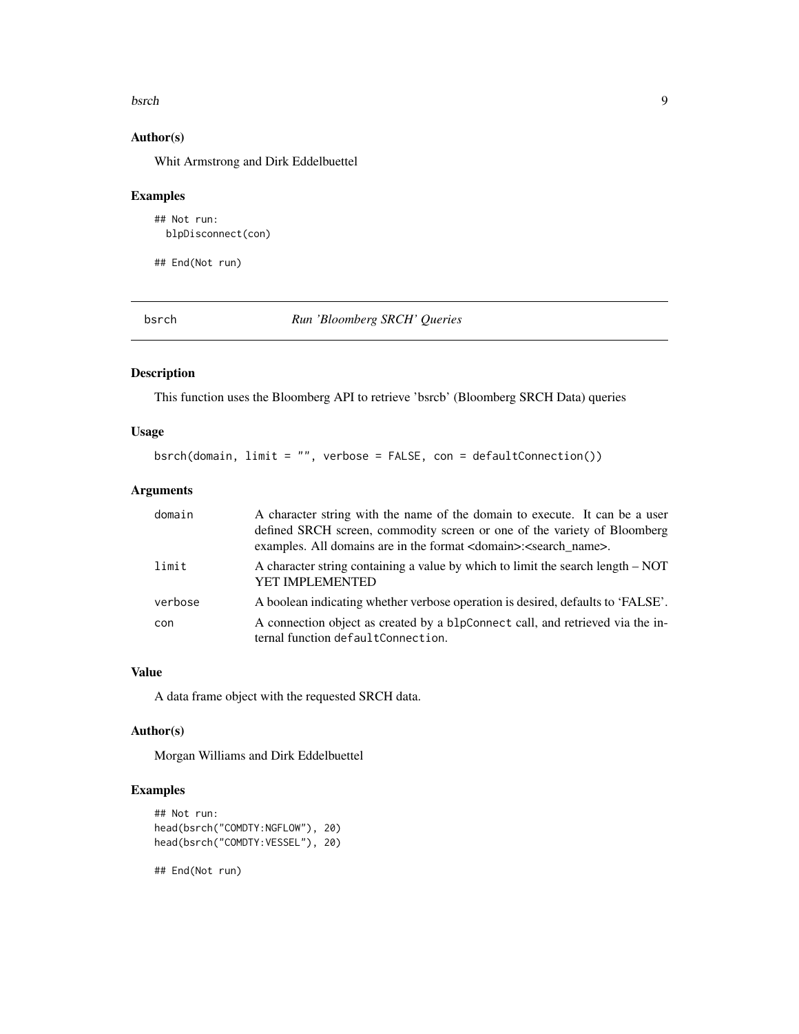#### <span id="page-8-0"></span>bsrch 99 and 2012 and 2012 and 2012 and 2012 and 2012 and 2012 and 2012 and 2012 and 2012 and 2012 and 2012 and 2013 and 2013 and 2013 and 2013 and 2013 and 2013 and 2013 and 2013 and 2013 and 2013 and 2013 and 2013 and 20

# Author(s)

Whit Armstrong and Dirk Eddelbuettel

# Examples

## Not run: blpDisconnect(con)

## End(Not run)

bsrch *Run 'Bloomberg SRCH' Queries*

# Description

This function uses the Bloomberg API to retrieve 'bsrcb' (Bloomberg SRCH Data) queries

# Usage

bsrch(domain, limit = "", verbose = FALSE, con = defaultConnection())

#### Arguments

| domain  | A character string with the name of the domain to execute. It can be a user<br>defined SRCH screen, commodity screen or one of the variety of Bloomberg<br>examples. All domains are in the format <domain>:<search_name>.</search_name></domain> |
|---------|---------------------------------------------------------------------------------------------------------------------------------------------------------------------------------------------------------------------------------------------------|
| limit   | A character string containing a value by which to limit the search length – NOT<br><b>YET IMPLEMENTED</b>                                                                                                                                         |
| verbose | A boolean indicating whether verbose operation is desired, defaults to 'FALSE'.                                                                                                                                                                   |
| con     | A connection object as created by a blpConnect call, and retrieved via the in-<br>ternal function defaultConnection.                                                                                                                              |

# Value

A data frame object with the requested SRCH data.

# Author(s)

Morgan Williams and Dirk Eddelbuettel

# Examples

```
## Not run:
head(bsrch("COMDTY:NGFLOW"), 20)
head(bsrch("COMDTY:VESSEL"), 20)
```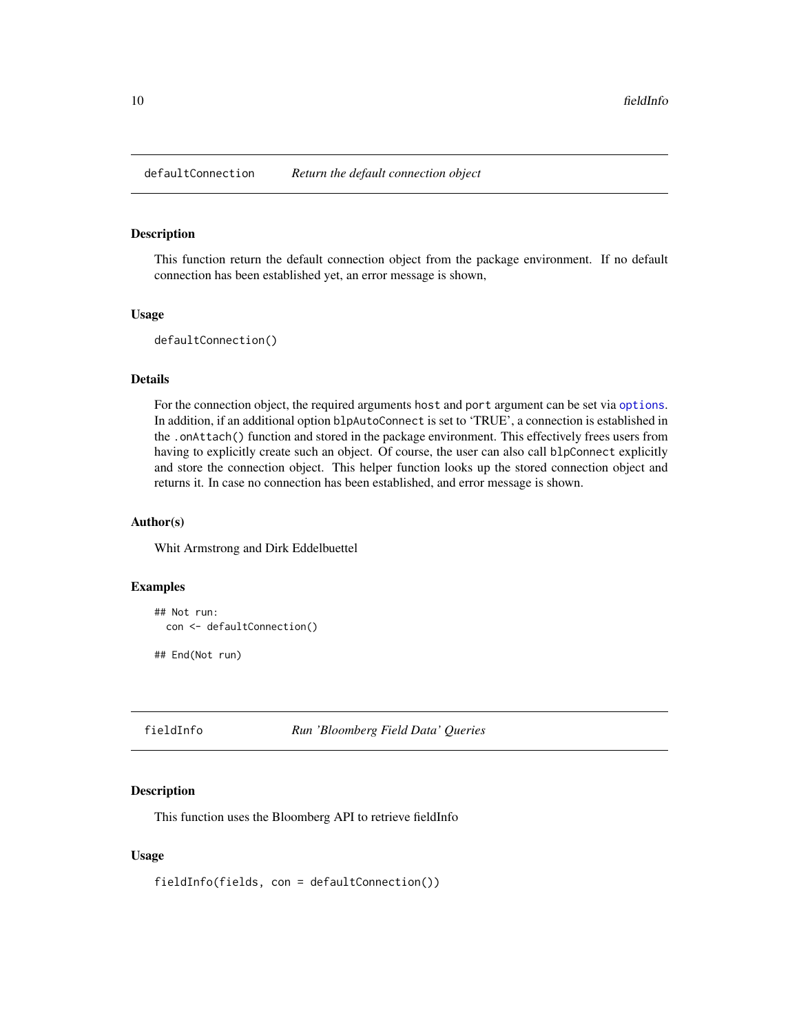<span id="page-9-0"></span>defaultConnection *Return the default connection object*

#### Description

This function return the default connection object from the package environment. If no default connection has been established yet, an error message is shown,

#### Usage

```
defaultConnection()
```
# Details

For the connection object, the required arguments host and port argument can be set via [options](#page-0-0). In addition, if an additional option blpAutoConnect is set to 'TRUE', a connection is established in the .onAttach() function and stored in the package environment. This effectively frees users from having to explicitly create such an object. Of course, the user can also call blpConnect explicitly and store the connection object. This helper function looks up the stored connection object and returns it. In case no connection has been established, and error message is shown.

# Author(s)

Whit Armstrong and Dirk Eddelbuettel

#### Examples

```
## Not run:
 con <- defaultConnection()
```
## End(Not run)

fieldInfo *Run 'Bloomberg Field Data' Queries*

#### Description

This function uses the Bloomberg API to retrieve fieldInfo

#### Usage

fieldInfo(fields, con = defaultConnection())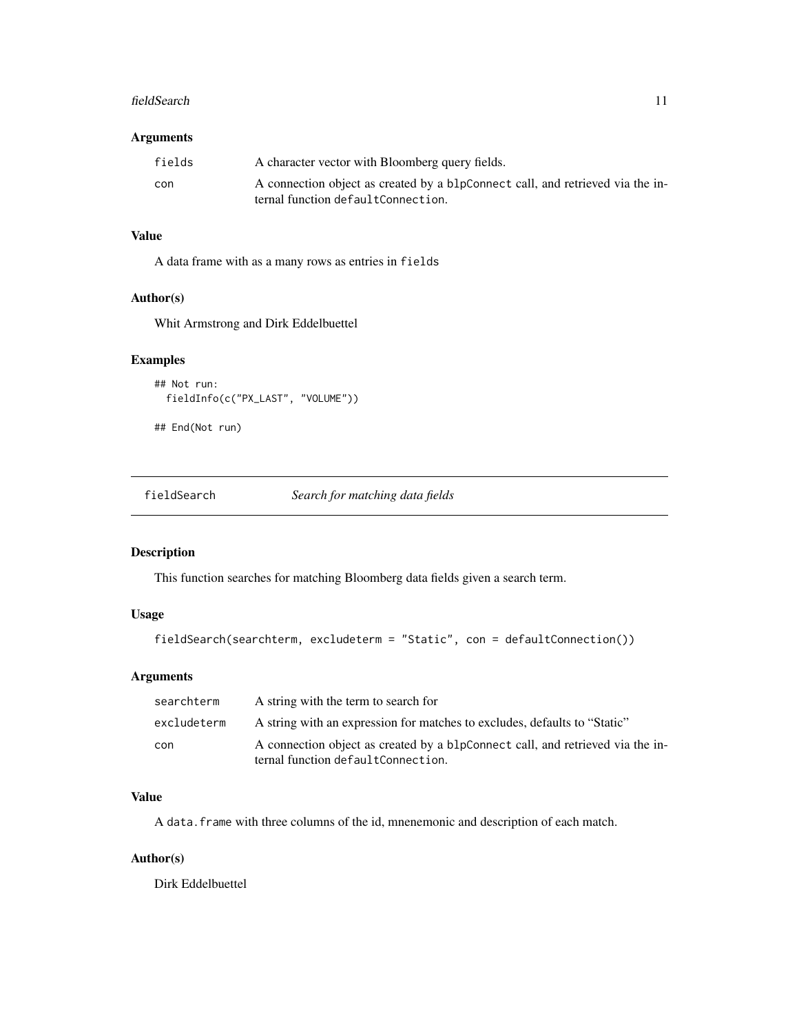#### <span id="page-10-0"></span>fieldSearch 11

# Arguments

| fields | A character vector with Bloomberg query fields.                                |
|--------|--------------------------------------------------------------------------------|
| con    | A connection object as created by a blpConnect call, and retrieved via the in- |
|        | ternal function defaultConnection.                                             |

# Value

A data frame with as a many rows as entries in fields

# Author(s)

Whit Armstrong and Dirk Eddelbuettel

# Examples

```
## Not run:
  fieldInfo(c("PX_LAST", "VOLUME"))
```

```
## End(Not run)
```
fieldSearch *Search for matching data fields*

# Description

This function searches for matching Bloomberg data fields given a search term.

# Usage

```
fieldSearch(searchterm, excludeterm = "Static", con = defaultConnection())
```
# Arguments

| searchterm  | A string with the term to search for                                                                                 |
|-------------|----------------------------------------------------------------------------------------------------------------------|
| excludeterm | A string with an expression for matches to excludes, defaults to "Static"                                            |
| con         | A connection object as created by a blpConnect call, and retrieved via the in-<br>ternal function defaultConnection. |

# Value

A data.frame with three columns of the id, mnenemonic and description of each match.

# Author(s)

Dirk Eddelbuettel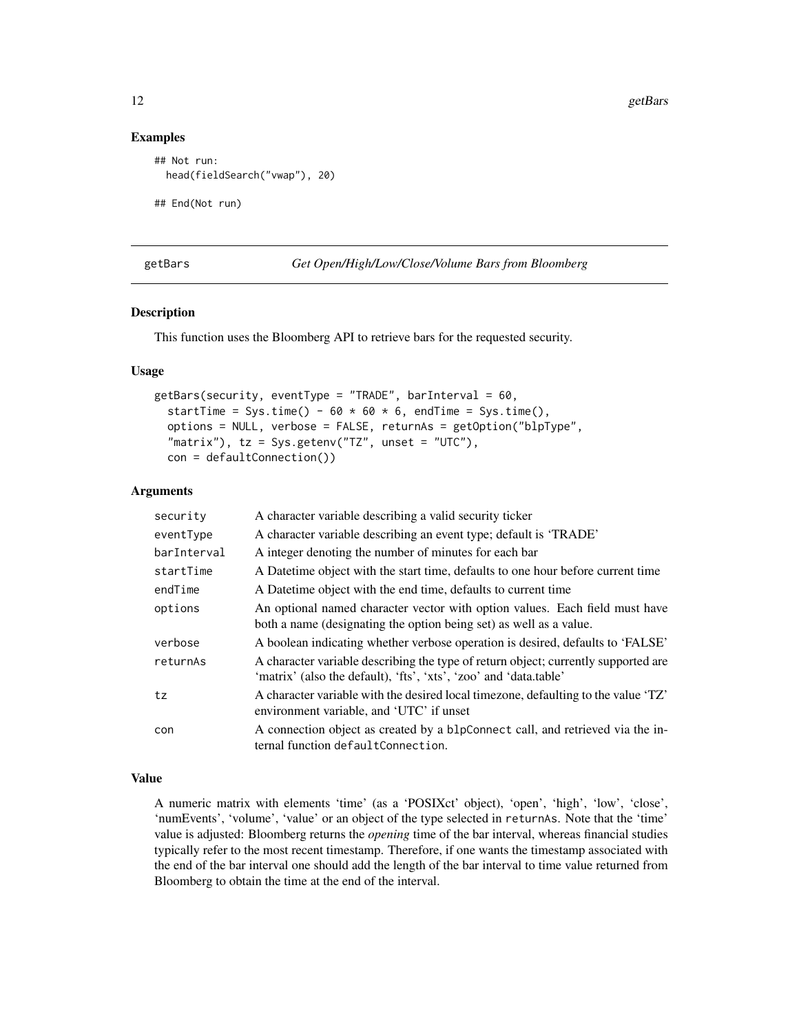#### Examples

```
## Not run:
 head(fieldSearch("vwap"), 20)
## End(Not run)
```
getBars *Get Open/High/Low/Close/Volume Bars from Bloomberg*

#### Description

This function uses the Bloomberg API to retrieve bars for the requested security.

### Usage

```
getBars(security, eventType = "TRADE", barInterval = 60,
  startTime = Sys.time() - 60 \times 60 \times 6, endTime = Sys.time(),
  options = NULL, verbose = FALSE, returnAs = getOption("blpType",
  "matrix"), tz = Sys.getenv("TZ", unset = "UTC"),con = defaultConnection())
```
#### Arguments

| security    | A character variable describing a valid security ticker                                                                                                 |
|-------------|---------------------------------------------------------------------------------------------------------------------------------------------------------|
| eventType   | A character variable describing an event type; default is 'TRADE'                                                                                       |
| barInterval | A integer denoting the number of minutes for each bar                                                                                                   |
| startTime   | A Date time object with the start time, defaults to one hour before current time                                                                        |
| endTime     | A Date time object with the end time, defaults to current time                                                                                          |
| options     | An optional named character vector with option values. Each field must have<br>both a name (designating the option being set) as well as a value.       |
| verbose     | A boolean indicating whether verbose operation is desired, defaults to 'FALSE'                                                                          |
| returnAs    | A character variable describing the type of return object; currently supported are<br>'matrix' (also the default), 'fts', 'xts', 'zoo' and 'data.table' |
| tz          | A character variable with the desired local timezone, defaulting to the value 'TZ'<br>environment variable, and 'UTC' if unset                          |
| con         | A connection object as created by a blpConnect call, and retrieved via the in-<br>ternal function defaultConnection.                                    |

#### Value

A numeric matrix with elements 'time' (as a 'POSIXct' object), 'open', 'high', 'low', 'close', 'numEvents', 'volume', 'value' or an object of the type selected in returnAs. Note that the 'time' value is adjusted: Bloomberg returns the *opening* time of the bar interval, whereas financial studies typically refer to the most recent timestamp. Therefore, if one wants the timestamp associated with the end of the bar interval one should add the length of the bar interval to time value returned from Bloomberg to obtain the time at the end of the interval.

<span id="page-11-0"></span>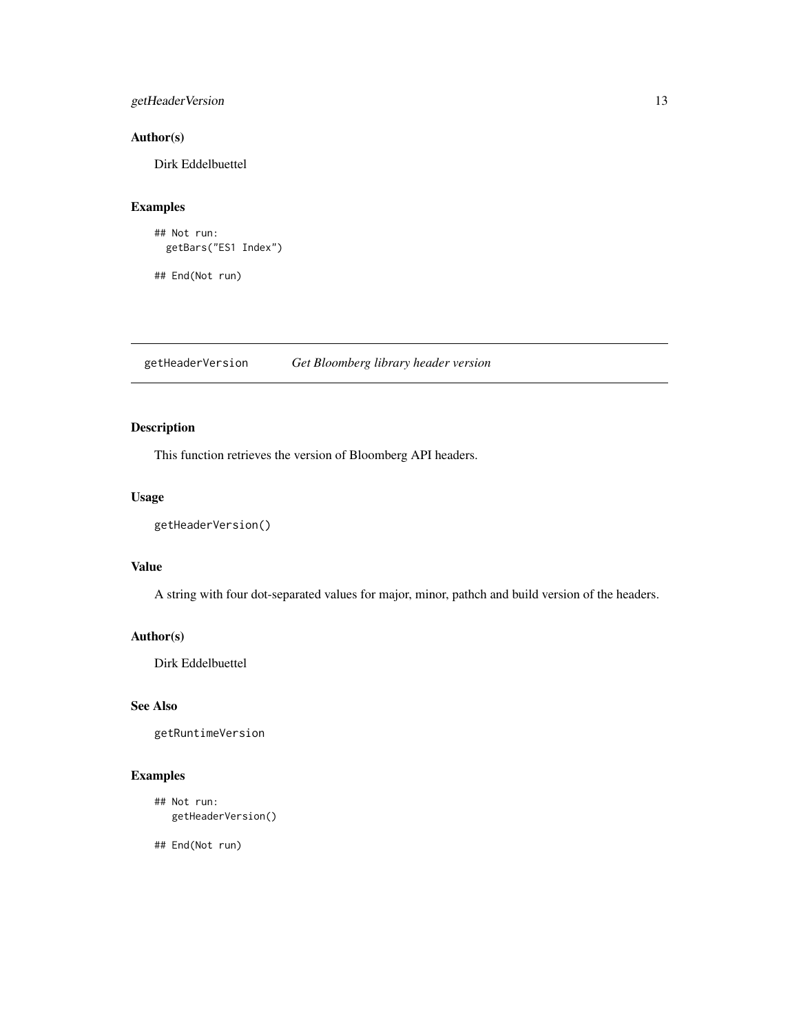# <span id="page-12-0"></span>getHeaderVersion 13

# Author(s)

Dirk Eddelbuettel

# Examples

```
## Not run:
 getBars("ES1 Index")
```
## End(Not run)

getHeaderVersion *Get Bloomberg library header version*

# Description

This function retrieves the version of Bloomberg API headers.

# Usage

```
getHeaderVersion()
```
# Value

A string with four dot-separated values for major, minor, pathch and build version of the headers.

# Author(s)

Dirk Eddelbuettel

# See Also

getRuntimeVersion

# Examples

```
## Not run:
  getHeaderVersion()
```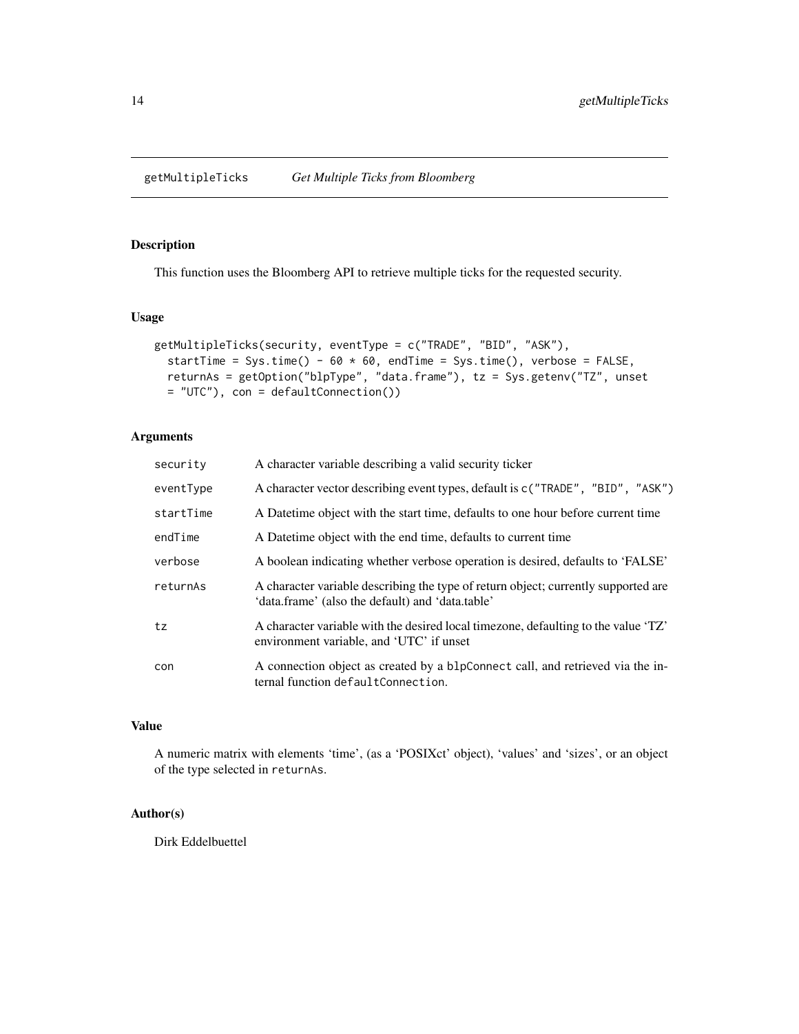<span id="page-13-0"></span>getMultipleTicks *Get Multiple Ticks from Bloomberg*

# Description

This function uses the Bloomberg API to retrieve multiple ticks for the requested security.

# Usage

```
getMultipleTicks(security, eventType = c("TRADE", "BID", "ASK"),
  startTime = Sys.time() - 60 \times 60, endTime = Sys.time(), verbose = FALSE,
  returnAs = getOption("blpType", "data.frame"), tz = Sys.getenv("TZ", unset
  = "UTC"), con = defaultConnection())
```
### Arguments

| security  | A character variable describing a valid security ticker                                                                                |
|-----------|----------------------------------------------------------------------------------------------------------------------------------------|
| eventType | A character vector describing event types, default is $c$ ("TRADE", "BID", "ASK")                                                      |
| startTime | A Date time object with the start time, defaults to one hour before current time                                                       |
| endTime   | A Date time object with the end time, defaults to current time                                                                         |
| verbose   | A boolean indicating whether verbose operation is desired, defaults to 'FALSE'                                                         |
| returnAs  | A character variable describing the type of return object; currently supported are<br>'data.frame' (also the default) and 'data.table' |
| tz        | A character variable with the desired local timezone, defaulting to the value 'TZ'<br>environment variable, and 'UTC' if unset         |
| con       | A connection object as created by a blpConnect call, and retrieved via the in-<br>ternal function defaultConnection.                   |

# Value

A numeric matrix with elements 'time', (as a 'POSIXct' object), 'values' and 'sizes', or an object of the type selected in returnAs.

# Author(s)

Dirk Eddelbuettel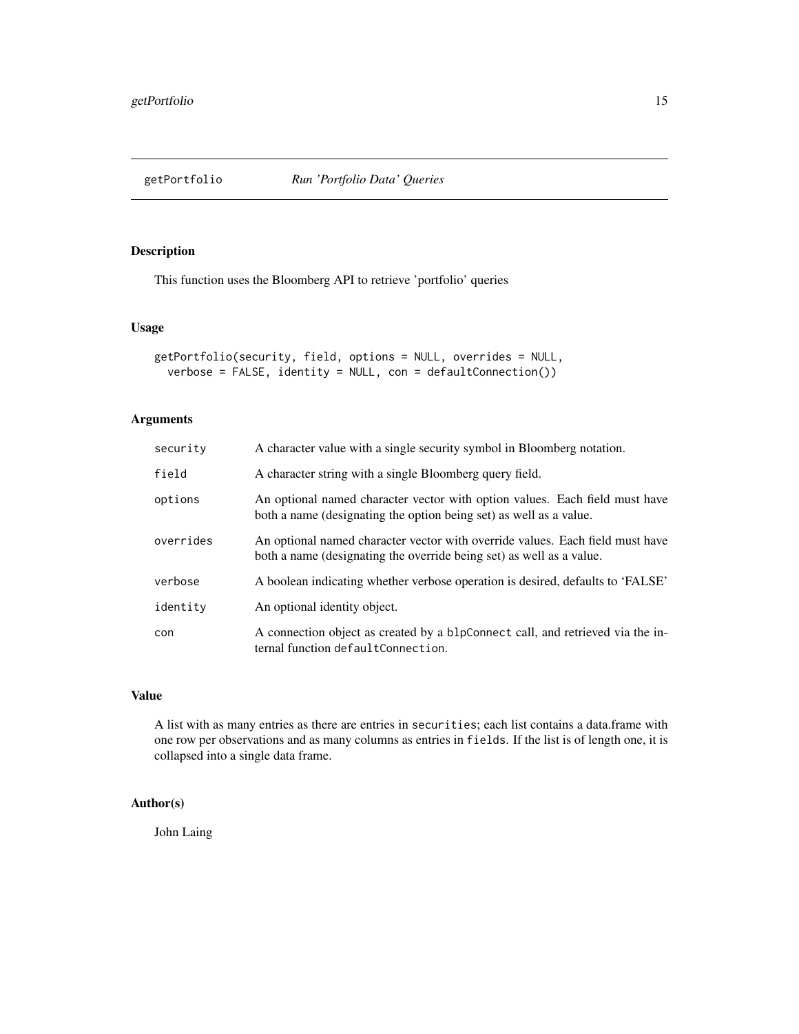<span id="page-14-0"></span>

This function uses the Bloomberg API to retrieve 'portfolio' queries

#### Usage

```
getPortfolio(security, field, options = NULL, overrides = NULL,
  verbose = FALSE, identity = NULL, con = defaultConnection())
```
# Arguments

| security  | A character value with a single security symbol in Bloomberg notation.                                                                                |
|-----------|-------------------------------------------------------------------------------------------------------------------------------------------------------|
| field     | A character string with a single Bloomberg query field.                                                                                               |
| options   | An optional named character vector with option values. Each field must have<br>both a name (designating the option being set) as well as a value.     |
| overrides | An optional named character vector with override values. Each field must have<br>both a name (designating the override being set) as well as a value. |
| verbose   | A boolean indicating whether verbose operation is desired, defaults to 'FALSE'                                                                        |
| identity  | An optional identity object.                                                                                                                          |
| con       | A connection object as created by a blpConnect call, and retrieved via the in-<br>ternal function defaultConnection.                                  |

# Value

A list with as many entries as there are entries in securities; each list contains a data.frame with one row per observations and as many columns as entries in fields. If the list is of length one, it is collapsed into a single data frame.

# Author(s)

John Laing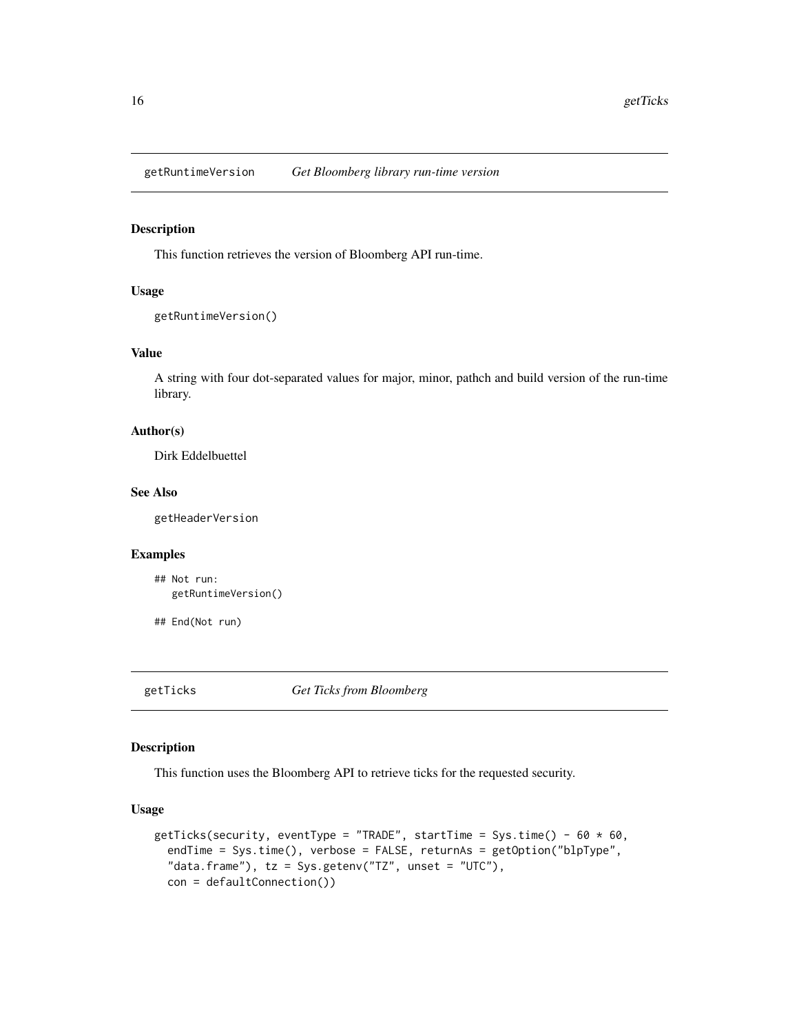<span id="page-15-0"></span>getRuntimeVersion *Get Bloomberg library run-time version*

# Description

This function retrieves the version of Bloomberg API run-time.

#### Usage

```
getRuntimeVersion()
```
# Value

A string with four dot-separated values for major, minor, pathch and build version of the run-time library.

# Author(s)

Dirk Eddelbuettel

#### See Also

getHeaderVersion

#### Examples

```
## Not run:
  getRuntimeVersion()
```
## End(Not run)

getTicks *Get Ticks from Bloomberg*

# Description

This function uses the Bloomberg API to retrieve ticks for the requested security.

#### Usage

```
getTicks(security, eventType = "TRADE", startTime = Sys.time() - 60 \times 60,
  endTime = Sys.time(), verbose = FALSE, returnAs = getOption("blpType",
  "data.frame"), tz = Sys.getenv("TZ", unset = "UTC"),
  con = defaultConnection())
```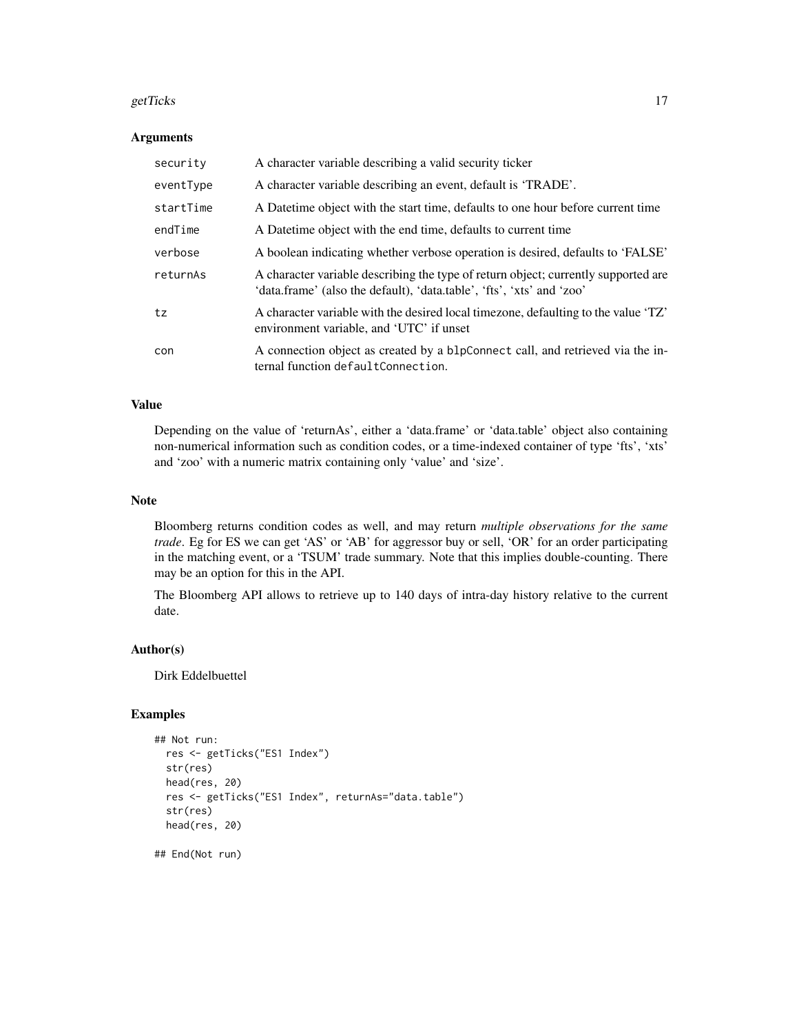#### getTicks  $\qquad \qquad 17$

#### **Arguments**

| security  | A character variable describing a valid security ticker                                                                                                     |
|-----------|-------------------------------------------------------------------------------------------------------------------------------------------------------------|
| eventType | A character variable describing an event, default is 'TRADE'.                                                                                               |
| startTime | A Date time object with the start time, defaults to one hour before current time                                                                            |
| endTime   | A Date time object with the end time, defaults to current time                                                                                              |
| verbose   | A boolean indicating whether verbose operation is desired, defaults to 'FALSE'                                                                              |
| returnAs  | A character variable describing the type of return object; currently supported are<br>'data.frame' (also the default), 'data.table', 'fts', 'xts' and 'zoo' |
| tz        | A character variable with the desired local timezone, defaulting to the value 'TZ'<br>environment variable, and 'UTC' if unset                              |
| con       | A connection object as created by a blpConnect call, and retrieved via the in-<br>ternal function defaultConnection.                                        |

### Value

Depending on the value of 'returnAs', either a 'data.frame' or 'data.table' object also containing non-numerical information such as condition codes, or a time-indexed container of type 'fts', 'xts' and 'zoo' with a numeric matrix containing only 'value' and 'size'.

#### Note

Bloomberg returns condition codes as well, and may return *multiple observations for the same trade*. Eg for ES we can get 'AS' or 'AB' for aggressor buy or sell, 'OR' for an order participating in the matching event, or a 'TSUM' trade summary. Note that this implies double-counting. There may be an option for this in the API.

The Bloomberg API allows to retrieve up to 140 days of intra-day history relative to the current date.

#### Author(s)

Dirk Eddelbuettel

# Examples

```
## Not run:
 res <- getTicks("ES1 Index")
 str(res)
 head(res, 20)
 res <- getTicks("ES1 Index", returnAs="data.table")
 str(res)
 head(res, 20)
```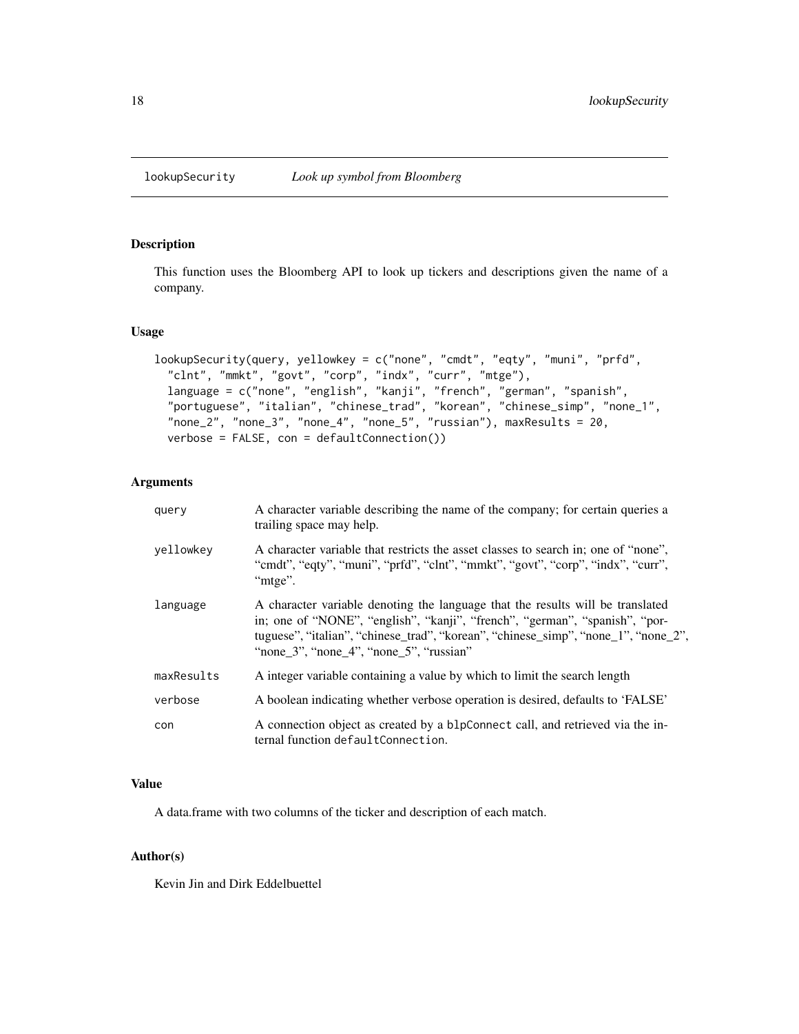<span id="page-17-0"></span>

This function uses the Bloomberg API to look up tickers and descriptions given the name of a company.

# Usage

```
lookupSecurity(query, yellowkey = c("none", "cmdt", "eqty", "muni", "prfd",
  "clnt", "mmkt", "govt", "corp", "indx", "curr", "mtge"),
  language = c("none", "english", "kanji", "french", "german", "spanish",
  "portuguese", "italian", "chinese_trad", "korean", "chinese_simp", "none_1",
  "none_2", "none_3", "none_4", "none_5", "russian"), maxResults = 20,
  verbose = FALSE, con = defaultConnection())
```
# Arguments

| query      | A character variable describing the name of the company; for certain queries a<br>trailing space may help.                                                                                                                                                                                     |
|------------|------------------------------------------------------------------------------------------------------------------------------------------------------------------------------------------------------------------------------------------------------------------------------------------------|
| vellowkey  | A character variable that restricts the asset classes to search in; one of "none",<br>"cmdt", "eqty", "muni", "prfd", "clnt", "mmkt", "govt", "corp", "indx", "curr",<br>"mtge".                                                                                                               |
| language   | A character variable denoting the language that the results will be translated<br>in; one of "NONE", "english", "kanji", "french", "german", "spanish", "por-<br>tuguese", "italian", "chinese_trad", "korean", "chinese_simp", "none_1", "none_2",<br>"none 3", "none 4", "none 5", "russian" |
| maxResults | A integer variable containing a value by which to limit the search length                                                                                                                                                                                                                      |
| verbose    | A boolean indicating whether verbose operation is desired, defaults to 'FALSE'                                                                                                                                                                                                                 |
| con        | A connection object as created by a blpConnect call, and retrieved via the in-<br>ternal function defaultConnection.                                                                                                                                                                           |

# Value

A data.frame with two columns of the ticker and description of each match.

# Author(s)

Kevin Jin and Dirk Eddelbuettel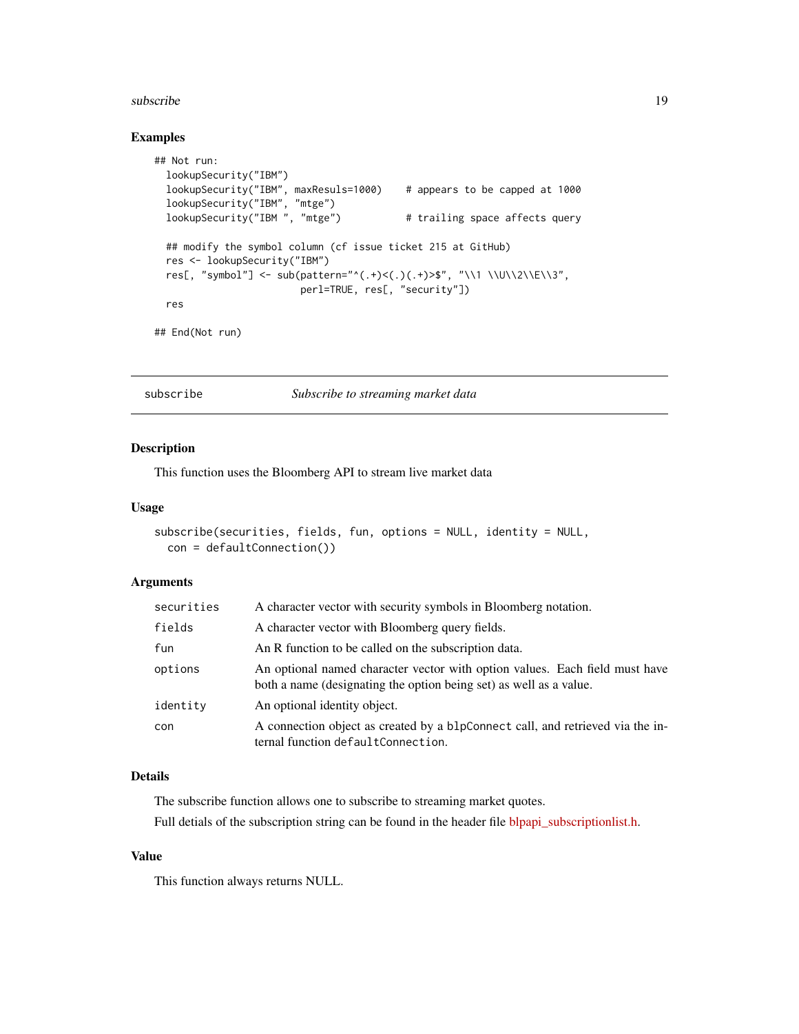#### <span id="page-18-0"></span>subscribe the subscribe that the subscribe the subscribe that  $19$

#### Examples

```
## Not run:
 lookupSecurity("IBM")
 lookupSecurity("IBM", maxResuls=1000) # appears to be capped at 1000
  lookupSecurity("IBM", "mtge")
  lookupSecurity("IBM ", "mtge") # trailing space affects query
 ## modify the symbol column (cf issue ticket 215 at GitHub)
 res <- lookupSecurity("IBM")
 res[, "symbol"] <- sub(pattern="^(.+)<(.)(.+)>$", "\\1 \\U\\2\\E\\3",
                        perl=TRUE, res[, "security"])
 res
## End(Not run)
```
subscribe *Subscribe to streaming market data*

#### Description

This function uses the Bloomberg API to stream live market data

#### Usage

```
subscribe(securities, fields, fun, options = NULL, identity = NULL,
 con = defaultConnection())
```
## Arguments

| securities | A character vector with security symbols in Bloomberg notation.                                                                                   |
|------------|---------------------------------------------------------------------------------------------------------------------------------------------------|
| fields     | A character vector with Bloomberg query fields.                                                                                                   |
| fun        | An R function to be called on the subscription data.                                                                                              |
| options    | An optional named character vector with option values. Each field must have<br>both a name (designating the option being set) as well as a value. |
| identity   | An optional identity object.                                                                                                                      |
| con        | A connection object as created by a blpConnect call, and retrieved via the in-<br>ternal function defaultConnection.                              |

# Details

The subscribe function allows one to subscribe to streaming market quotes.

Full detials of the subscription string can be found in the header file [blpapi\\_subscriptionlist.h.](http://bloomberg.github.io/blpapi-docs/cpp/3.8/blpapi__subscriptionlist_8h.html)

# Value

This function always returns NULL.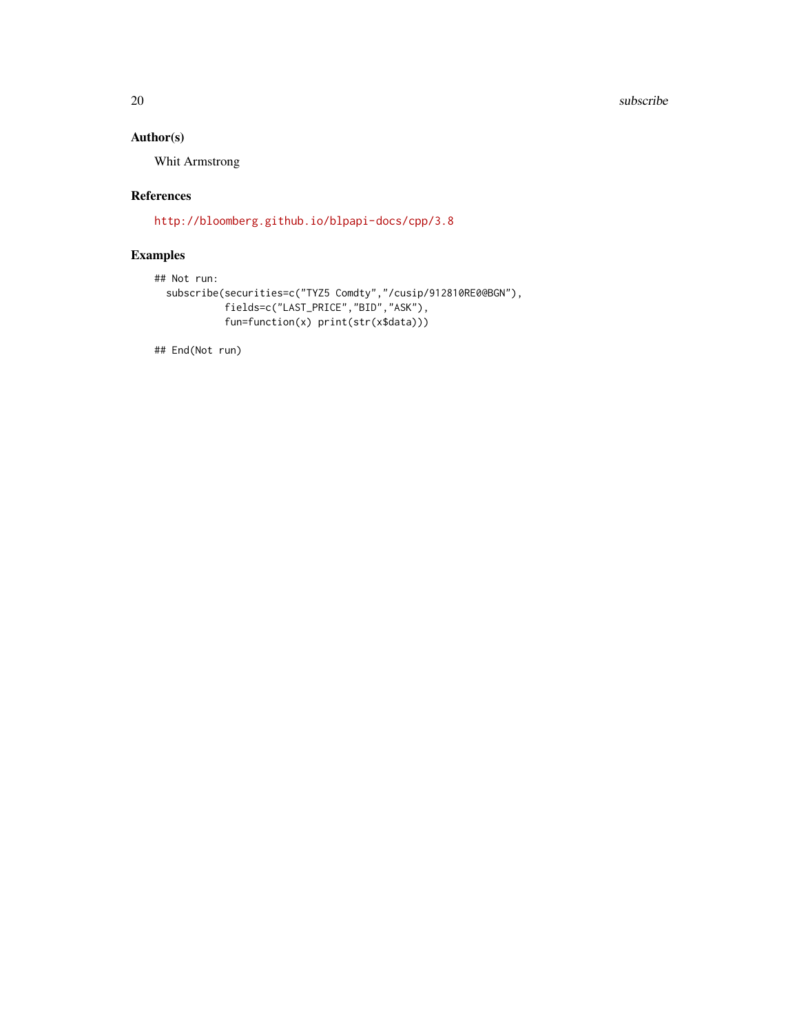#### 20 subscribe and the subscribe and the subscribe and the subscribe subscribe and the subscribe subscribe

# Author(s)

Whit Armstrong

# References

<http://bloomberg.github.io/blpapi-docs/cpp/3.8>

# Examples

```
## Not run:
 subscribe(securities=c("TYZ5 Comdty","/cusip/912810RE0@BGN"),
            fields=c("LAST_PRICE","BID","ASK"),
            fun=function(x) print(str(x$data)))
```